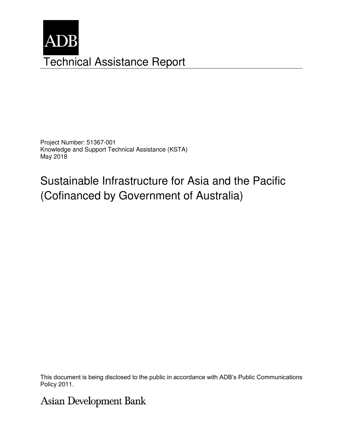

Project Number: 51367-001 Knowledge and Support Technical Assistance (KSTA) May 2018

Sustainable Infrastructure for Asia and the Pacific (Cofinanced by Government of Australia)

This document is being disclosed to the public in accordance with ADB's Public Communications Policy 2011.

Asian Development Bank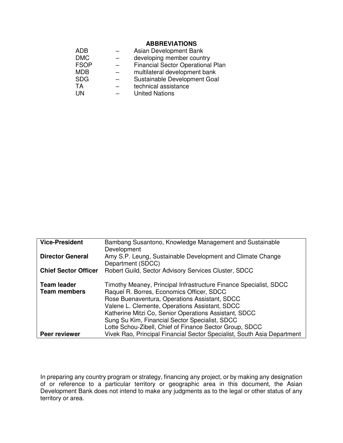### **ABBREVIATIONS**

| ADB         | Asian Development Bank            |
|-------------|-----------------------------------|
| <b>DMC</b>  | developing member country         |
| <b>FSOP</b> | Financial Sector Operational Plan |
| <b>MDB</b>  | multilateral development bank     |
| <b>SDG</b>  | Sustainable Development Goal      |
| TA          | technical assistance              |
| I IN        | <b>United Nations</b>             |

| <b>Vice-President</b>       | Bambang Susantono, Knowledge Management and Sustainable                 |  |  |
|-----------------------------|-------------------------------------------------------------------------|--|--|
|                             | Development                                                             |  |  |
| <b>Director General</b>     | Amy S.P. Leung, Sustainable Development and Climate Change              |  |  |
|                             | Department (SDCC)                                                       |  |  |
| <b>Chief Sector Officer</b> | Robert Guild, Sector Advisory Services Cluster, SDCC                    |  |  |
| <b>Team leader</b>          | Timothy Meaney, Principal Infrastructure Finance Specialist, SDCC       |  |  |
| <b>Team members</b>         | Raquel R. Borres, Economics Officer, SDCC                               |  |  |
|                             | Rose Buenaventura, Operations Assistant, SDCC                           |  |  |
|                             | Valene L. Clemente, Operations Assistant, SDCC                          |  |  |
|                             | Katherine Mitzi Co, Senior Operations Assistant, SDCC                   |  |  |
|                             | Sung Su Kim, Financial Sector Specialist, SDCC                          |  |  |
|                             | Lotte Schou-Zibell, Chief of Finance Sector Group, SDCC                 |  |  |
| Peer reviewer               | Vivek Rao, Principal Financial Sector Specialist, South Asia Department |  |  |

In preparing any country program or strategy, financing any project, or by making any designation of or reference to a particular territory or geographic area in this document, the Asian Development Bank does not intend to make any judgments as to the legal or other status of any territory or area.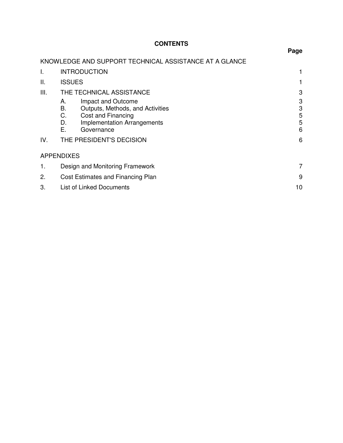# **CONTENTS**

|      |                                                                                                                                            | r ayc            |  |
|------|--------------------------------------------------------------------------------------------------------------------------------------------|------------------|--|
|      | KNOWLEDGE AND SUPPORT TECHNICAL ASSISTANCE AT A GLANCE                                                                                     |                  |  |
| I.   | <b>INTRODUCTION</b>                                                                                                                        |                  |  |
| ΙΙ.  | <b>ISSUES</b>                                                                                                                              |                  |  |
| III. | THE TECHNICAL ASSISTANCE                                                                                                                   | 3                |  |
|      | Impact and Outcome<br>А.<br>Outputs, Methods, and Activities<br>В.<br>C.<br>Cost and Financing<br><b>Implementation Arrangements</b><br>D. | 3<br>3<br>5<br>5 |  |
|      | Е.<br>Governance                                                                                                                           | 6                |  |
| IV.  | THE PRESIDENT'S DECISION                                                                                                                   | 6                |  |
|      | <b>APPENDIXES</b>                                                                                                                          |                  |  |
| 1.   | Design and Monitoring Framework                                                                                                            |                  |  |
| 2.   | Cost Estimates and Financing Plan                                                                                                          |                  |  |
| 3.   | List of Linked Documents                                                                                                                   |                  |  |
|      |                                                                                                                                            |                  |  |

## **Page**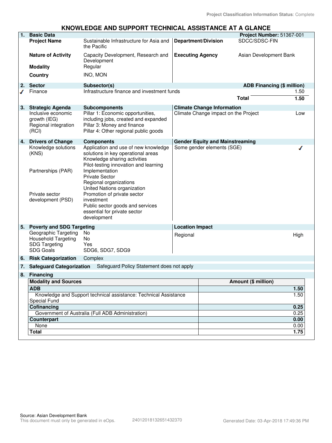#### **KNOWLEDGE AND SUPPORT TECHNICAL ASSISTANCE AT A GLANCE**

| 1. | <b>Basic Data</b>                                                                              |                                                                                                                                                     |                         |                                        | Project Number: 51367-001         |              |
|----|------------------------------------------------------------------------------------------------|-----------------------------------------------------------------------------------------------------------------------------------------------------|-------------------------|----------------------------------------|-----------------------------------|--------------|
|    | <b>Project Name</b>                                                                            | Sustainable Infrastructure for Asia and<br>the Pacific                                                                                              |                         | <b>Department/Division</b>             | SDCC/SDSC-FIN                     |              |
|    | <b>Nature of Activity</b><br><b>Modality</b>                                                   | Capacity Development, Research and<br>Development<br>Regular                                                                                        | <b>Executing Agency</b> |                                        | Asian Development Bank            |              |
|    | Country                                                                                        | INO, MON                                                                                                                                            |                         |                                        |                                   |              |
| 2. | <b>Sector</b>                                                                                  | Subsector(s)                                                                                                                                        |                         |                                        | <b>ADB Financing (\$ million)</b> |              |
|    | Finance                                                                                        | Infrastructure finance and investment funds                                                                                                         |                         |                                        |                                   | 1.50         |
|    |                                                                                                |                                                                                                                                                     |                         |                                        | <b>Total</b>                      | 1.50         |
| 3. | <b>Strategic Agenda</b>                                                                        | <b>Subcomponents</b>                                                                                                                                |                         | <b>Climate Change Information</b>      |                                   |              |
|    | Inclusive economic<br>growth (IEG)<br>Regional integration<br>(RCI)                            | Pillar 1: Economic opportunities,<br>including jobs, created and expanded<br>Pillar 3: Money and finance<br>Pillar 4: Other regional public goods   |                         | Climate Change impact on the Project   |                                   | Low          |
| 4. | <b>Drivers of Change</b>                                                                       | <b>Components</b>                                                                                                                                   |                         | <b>Gender Equity and Mainstreaming</b> |                                   |              |
|    | Knowledge solutions<br>(KNS)                                                                   | Application and use of new knowledge<br>solutions in key operational areas<br>Knowledge sharing activities<br>Pilot-testing innovation and learning |                         | Some gender elements (SGE)             |                                   |              |
|    | Partnerships (PAR)                                                                             | Implementation<br><b>Private Sector</b><br>Regional organizations<br>United Nations organization                                                    |                         |                                        |                                   |              |
|    | Private sector<br>development (PSD)                                                            | Promotion of private sector<br>investment<br>Public sector goods and services<br>essential for private sector<br>development                        |                         |                                        |                                   |              |
| 5. | <b>Poverty and SDG Targeting</b>                                                               |                                                                                                                                                     | <b>Location Impact</b>  |                                        |                                   |              |
|    | Geographic Targeting<br><b>Household Targeting</b><br><b>SDG Targeting</b><br><b>SDG Goals</b> | No<br>No<br>Yes<br>SDG6, SDG7, SDG9                                                                                                                 | Regional                |                                        |                                   | High         |
| 6. | <b>Risk Categorization</b>                                                                     | Complex                                                                                                                                             |                         |                                        |                                   |              |
| 7. | <b>Safeguard Categorization</b>                                                                | Safeguard Policy Statement does not apply                                                                                                           |                         |                                        |                                   |              |
| 8. | <b>Financing</b>                                                                               |                                                                                                                                                     |                         |                                        |                                   |              |
|    | <b>Modality and Sources</b>                                                                    |                                                                                                                                                     |                         | Amount (\$ million)                    |                                   |              |
|    | <b>ADB</b>                                                                                     |                                                                                                                                                     |                         |                                        |                                   | 1.50         |
|    | Knowledge and Support technical assistance: Technical Assistance<br>Special Fund               |                                                                                                                                                     |                         |                                        |                                   | 1.50         |
|    | Cofinancing                                                                                    |                                                                                                                                                     |                         |                                        |                                   | 0.25         |
|    | Government of Australia (Full ADB Administration)                                              |                                                                                                                                                     |                         |                                        |                                   | 0.25         |
|    | <b>Counterpart</b>                                                                             |                                                                                                                                                     |                         |                                        |                                   | 0.00         |
|    | None<br><b>Total</b>                                                                           |                                                                                                                                                     |                         |                                        |                                   | 0.00<br>1.75 |
|    |                                                                                                |                                                                                                                                                     |                         |                                        |                                   |              |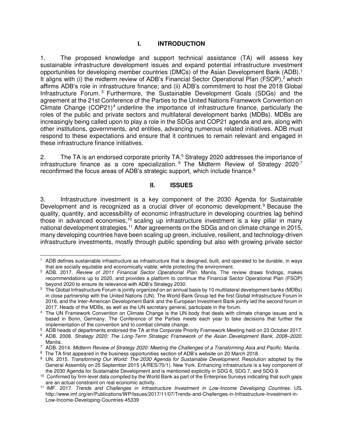### **I. INTRODUCTION**

1. The proposed knowledge and support technical assistance (TA) will assess key sustainable infrastructure development issues and expand potential infrastructure investment opportunities for developing member countries (DMCs) of the Asian Development Bank (ADB).<sup>1</sup> It aligns with (i) the midterm review of ADB's Financial Sector Operational Plan (FSOP),<sup>2</sup> which affirms ADB's role in infrastructure finance; and (ii) ADB's commitment to host the 2018 Global Infrastructure Forum.<sup>3</sup> Furthermore, the Sustainable Development Goals (SDGs) and the agreement at the 21st Conference of the Parties to the United Nations Framework Convention on Climate Change (COP21)<sup>4</sup> underline the importance of infrastructure finance, particularly the roles of the public and private sectors and multilateral development banks (MDBs). MDBs are increasingly being called upon to play a role in the SDGs and COP21 agenda and are, along with other institutions, governments, and entities, advancing numerous related initiatives. ADB must respond to these expectations and ensure that it continues to remain relevant and engaged in these infrastructure finance initiatives.

2. The TA is an endorsed corporate priority TA.<sup>5</sup> Strategy 2020 addresses the importance of infrastructure finance as a core specialization.  $6$  The Midterm Review of Strategy 2020  $^7$ reconfirmed the focus areas of ADB's strategic support, which include finance.<sup>8</sup>

#### **II. ISSUES**

3. Infrastructure investment is a key component of the 2030 Agenda for Sustainable Development and is recognized as a crucial driver of economic development.<sup>9</sup> Because the quality, quantity, and accessibility of economic infrastructure in developing countries lag behind those in advanced economies,<sup>10</sup> scaling up infrastructure investment is a key pillar in many national development strategies.<sup>11</sup> After agreements on the SDGs and on climate change in 2015, many developing countries have been scaling up green, inclusive, resilient, and technology-driven infrastructure investments, mostly through public spending but also with growing private sector

 $\overline{a}$ 1 ADB defines sustainable infrastructure as infrastructure that is designed, built, and operated to be durable, in ways that are socially equitable and economically viable, while protecting the environment.

<sup>2</sup> ADB. 2017. *Review of 2011 Financial Sector Operational Plan*. Manila. The review draws findings, makes recommendations up to 2020, and provides a platform to continue the Financial Sector Operational Plan (FSOP) beyond 2020 to ensure its relevance with ADB's Strategy 2030.

<sup>3</sup> The Global Infrastructure Forum is jointly organized on an annual basis by 10 multilateral development banks (MDBs) in close partnership with the United Nations (UN). The World Bank Group led the first Global Infrastructure Forum in 2016, and the Inter-American Development Bank and the European Investment Bank jointly led the second forum in 2017. Heads of the MDBs, as well as the UN secretary general, participate in the forum.

<sup>4</sup> The UN Framework Convention on Climate Change is the UN body that deals with climate change issues and is based in Bonn, Germany. The Conference of the Parties meets each year to take decisions that further the implementation of the convention and to combat climate change.

<sup>5</sup> ADB heads of departments endorsed the TA at the Corporate Priority Framework Meeting held on 23 October 2017.

<sup>6</sup> ADB. 2008. *Strategy 2020: The Long-Term Strategic Framework of the Asian Development Bank, 2008–2020*. Manila.

<sup>7</sup> ADB. 2014. *Midterm Review of Strategy 2020: Meeting the Challenges of a Transforming Asia and Pacific*. Manila.

<sup>&</sup>lt;sup>8</sup> The TA first appeared in the business opportunities section of ADB's website on 20 March 2018.

<sup>9</sup> UN. 2015. *Transforming Our World: The 2030 Agenda for Sustainable Development*. Resolution adopted by the General Assembly on 25 September 2015 (A/RES/70/1). New York. Enhancing infrastructure is a key component of the 2030 Agenda for Sustainable Development and is mentioned explicitly in SDG 6, SDG 7, and SDG 9.

<sup>&</sup>lt;sup>10</sup> Confirmed by firm-level data compiled by the World Bank as part of the Enterprise Surveys indicating that such gaps are an actual constraint on real economic activity.

<sup>11</sup> IMF. 2017. *Trends and Challenges in Infrastructure Investment in Low-Income Developing Countries*. US. http://www.imf.org/en/Publications/WP/Issues/2017/11/07/Trends-and-Challenges-in-Infrastructure-Investment-in-Low-Income-Developing-Countries-45339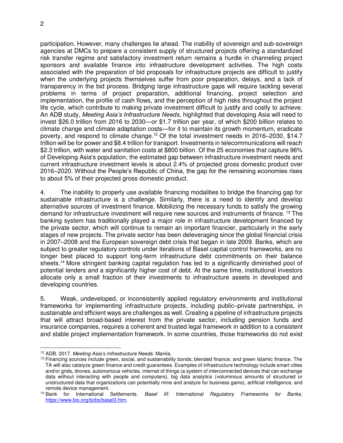participation. However, many challenges lie ahead. The inability of sovereign and sub-sovereign agencies at DMCs to prepare a consistent supply of structured projects offering a standardized risk transfer regime and satisfactory investment return remains a hurdle in channeling project sponsors and available finance into infrastructure development activities. The high costs associated with the preparation of bid proposals for infrastructure projects are difficult to justify when the underlying projects themselves suffer from poor preparation, delays, and a lack of transparency in the bid process. Bridging large infrastructure gaps will require tackling several problems in terms of project preparation, additional financing, project selection and implementation, the profile of cash flows, and the perception of high risks throughout the project life cycle, which contribute to making private investment difficult to justify and costly to achieve. An ADB study, *Meeting Asia's Infrastructure Needs*, highlighted that developing Asia will need to invest \$26.0 trillion from 2016 to 2030—or \$1.7 trillion per year, of which \$200 billion relates to climate change and climate adaptation costs—for it to maintain its growth momentum, eradicate poverty, and respond to climate change.<sup>12</sup> Of the total investment needs in 2016–2030, \$14.7 trillion will be for power and \$8.4 trillion for transport. Investments in telecommunications will reach \$2.3 trillion, with water and sanitation costs at \$800 billion. Of the 25 economies that capture 96% of Developing Asia's population, the estimated gap between infrastructure investment needs and current infrastructure investment levels is about 2.4% of projected gross domestic product over 2016–2020. Without the People's Republic of China, the gap for the remaining economies rises to about 5% of their projected gross domestic product.

4. The inability to properly use available financing modalities to bridge the financing gap for sustainable infrastructure is a challenge. Similarly, there is a need to identify and develop alternative sources of investment finance. Mobilizing the necessary funds to satisfy the growing demand for infrastructure investment will require new sources and instruments of finance. <sup>13</sup> The banking system has traditionally played a major role in infrastructure development financed by the private sector, which will continue to remain an important financier, particularly in the early stages of new projects. The private sector has been deleveraging since the global financial crisis in 2007–2008 and the European sovereign debt crisis that began in late 2009. Banks, which are subject to greater regulatory controls under iterations of Basel capital control frameworks, are no longer best placed to support long-term infrastructure debt commitments on their balance sheets.<sup>14</sup> More stringent banking capital regulation has led to a significantly diminished pool of potential lenders and a significantly higher cost of debt. At the same time, institutional investors allocate only a small fraction of their investments to infrastructure assets in developed and developing countries.

5. Weak, undeveloped, or inconsistently applied regulatory environments and institutional frameworks for implementing infrastructure projects, including public–private partnerships, in sustainable and efficient ways are challenges as well. Creating a pipeline of infrastructure projects that will attract broad-based interest from the private sector, including pension funds and insurance companies, requires a coherent and trusted legal framework in addition to a consistent and stable project implementation framework. In some countries, those frameworks do not exist

 $\overline{a}$ <sup>12</sup> ADB. 2017. *Meeting Asia's Infrastructure Needs*. Manila.

 $13$  Financing sources include green, social, and sustainability bonds; blended finance; and green Islamic finance. The TA will also catalyze green finance and credit guarantees. Examples of infrastructure technology include smart cities and/or grids, drones, autonomous vehicles, internet of things (a system of interconnected devices that can exchange data without interacting with people and computers), big data analytics (voluminous amounts of structured or unstructured data that organizations can potentially mine and analyze for business gains), artificial intelligence, and remote device management.<br><sup>14</sup> Bank for International Settlements.

Basel III: International Regulatory Frameworks for Banks. [https://www.bis.org/bcbs/basel3.htm.](https://www.bis.org/bcbs/basel3.htm)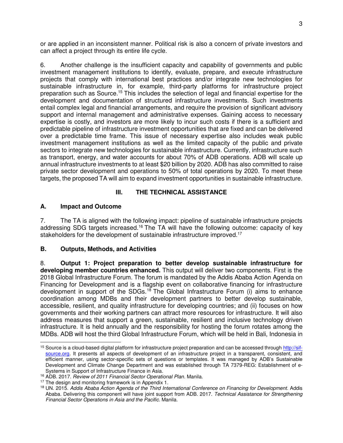or are applied in an inconsistent manner. Political risk is also a concern of private investors and can affect a project through its entire life cycle.

6. Another challenge is the insufficient capacity and capability of governments and public investment management institutions to identify, evaluate, prepare, and execute infrastructure projects that comply with international best practices and/or integrate new technologies for sustainable infrastructure in, for example, third-party platforms for infrastructure project preparation such as Source.<sup>15</sup> This includes the selection of legal and financial expertise for the development and documentation of structured infrastructure investments. Such investments entail complex legal and financial arrangements, and require the provision of significant advisory support and internal management and administrative expenses. Gaining access to necessary expertise is costly, and investors are more likely to incur such costs if there is a sufficient and predictable pipeline of infrastructure investment opportunities that are fixed and can be delivered over a predictable time frame. This issue of necessary expertise also includes weak public investment management institutions as well as the limited capacity of the public and private sectors to integrate new technologies for sustainable infrastructure. Currently, infrastructure such as transport, energy, and water accounts for about 70% of ADB operations. ADB will scale up annual infrastructure investments to at least \$20 billion by 2020. ADB has also committed to raise private sector development and operations to 50% of total operations by 2020. To meet these targets, the proposed TA will aim to expand investment opportunities in sustainable infrastructure.

## **III. THE TECHNICAL ASSISTANCE**

### **A. Impact and Outcome**

7. The TA is aligned with the following impact: pipeline of sustainable infrastructure projects addressing SDG targets increased.<sup>16</sup> The TA will have the following outcome: capacity of key stakeholders for the development of sustainable infrastructure improved.<sup>17</sup>

## **B. Outputs, Methods, and Activities**

8. **Output 1: Project preparation to better develop sustainable infrastructure for developing member countries enhanced.** This output will deliver two components. First is the 2018 Global Infrastructure Forum. The forum is mandated by the Addis Ababa Action Agenda on Financing for Development and is a flagship event on collaborative financing for infrastructure development in support of the SDGs.<sup>18</sup> The Global Infrastructure Forum (i) aims to enhance coordination among MDBs and their development partners to better develop sustainable, accessible, resilient, and quality infrastructure for developing countries; and (ii) focuses on how governments and their working partners can attract more resources for infrastructure. It will also address measures that support a green, sustainable, resilient and inclusive technology driven infrastructure. It is held annually and the responsibility for hosting the forum rotates among the MDBs. ADB will host the third Global Infrastructure Forum, which will be held in Bali, Indonesia in

 $\overline{a}$ <sup>15</sup> Source is a cloud-based digital platform for infrastructure project preparation and can be accessed throug[h http://sif](http://sif-source.org/)[source.org.](http://sif-source.org/) It presents all aspects of development of an infrastructure project in a transparent, consistent, and efficient manner, using sector-specific sets of questions or templates. It was managed by ADB's Sustainable Development and Climate Change Department and was established through TA 7379-REG: Establishment of e-Systems in Support of Infrastructure Finance in Asia.

<sup>16</sup> ADB. 2017. *Review of 2011 Financial Sector Operational Plan*. Manila.

<sup>&</sup>lt;sup>17</sup> The design and monitoring framework is in Appendix 1.

<sup>18</sup> UN. 2015. *Addis Ababa Action Agenda of the Third International Conference on Financing for Development*. Addis Ababa. Delivering this component will have joint support from ADB. 2017. *Technical Assistance for Strengthening Financial Sector Operations in Asia and the Pacific*. Manila.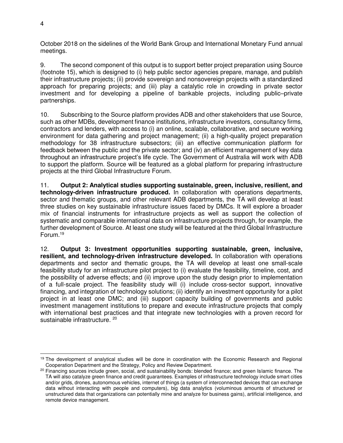October 2018 on the sidelines of the World Bank Group and International Monetary Fund annual meetings.

9. The second component of this output is to support better project preparation using Source (footnote 15), which is designed to (i) help public sector agencies prepare, manage, and publish their infrastructure projects; (ii) provide sovereign and nonsovereign projects with a standardized approach for preparing projects; and (iii) play a catalytic role in crowding in private sector investment and for developing a pipeline of bankable projects, including public–private partnerships.

10. Subscribing to the Source platform provides ADB and other stakeholders that use Source, such as other MDBs, development finance institutions, infrastructure investors, consultancy firms, contractors and lenders, with access to (i) an online, scalable, collaborative, and secure working environment for data gathering and project management; (ii) a high-quality project preparation methodology for 38 infrastructure subsectors; (iii) an effective communication platform for feedback between the public and the private sector; and (iv) an efficient management of key data throughout an infrastructure project's life cycle. The Government of Australia will work with ADB to support the platform. Source will be featured as a global platform for preparing infrastructure projects at the third Global Infrastructure Forum.

11. **Output 2: Analytical studies supporting sustainable, green, inclusive, resilient, and technology-driven infrastructure produced.** In collaboration with operations departments, sector and thematic groups, and other relevant ADB departments, the TA will develop at least three studies on key sustainable infrastructure issues faced by DMCs. It will explore a broader mix of financial instruments for infrastructure projects as well as support the collection of systematic and comparable international data on infrastructure projects through, for example, the further development of Source. At least one study will be featured at the third Global Infrastructure Forum.<sup>19</sup>

12. **Output 3: Investment opportunities supporting sustainable, green, inclusive, resilient, and technology-driven infrastructure developed.** In collaboration with operations departments and sector and thematic groups, the TA will develop at least one small-scale feasibility study for an infrastructure pilot project to (i) evaluate the feasibility, timeline, cost, and the possibility of adverse effects; and (ii) improve upon the study design prior to implementation of a full-scale project. The feasibility study will (i) include cross-sector support, innovative financing, and integration of technology solutions; (ii) identify an investment opportunity for a pilot project in at least one DMC; and (iii) support capacity building of governments and public investment management institutions to prepare and execute infrastructure projects that comply with international best practices and that integrate new technologies with a proven record for sustainable infrastructure. 20

 $\overline{a}$ <sup>19</sup> The development of analytical studies will be done in coordination with the Economic Research and Regional Cooperation Department and the Strategy, Policy and Review Department.

<sup>&</sup>lt;sup>20</sup> Financing sources include green, social, and sustainability bonds: blended finance; and green Islamic finance. The TA will also catalyze green finance and credit guarantees. Examples of infrastructure technology include smart cities and/or grids, drones, autonomous vehicles, internet of things (a system of interconnected devices that can exchange data without interacting with people and computers), big data analytics (voluminous amounts of structured or unstructured data that organizations can potentially mine and analyze for business gains), artificial intelligence, and remote device management.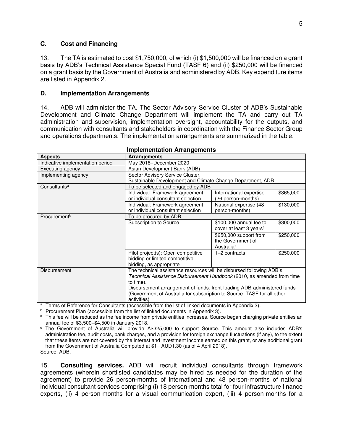#### **C. Cost and Financing**

13. The TA is estimated to cost \$1,750,000, of which (i) \$1,500,000 will be financed on a grant basis by ADB's Technical Assistance Special Fund (TASF 6) and (ii) \$250,000 will be financed on a grant basis by the Government of Australia and administered by ADB. Key expenditure items are listed in Appendix 2.

#### **D. Implementation Arrangements**

14. ADB will administer the TA. The Sector Advisory Service Cluster of ADB's Sustainable Development and Climate Change Department will implement the TA and carry out TA administration and supervision, implementation oversight, accountability for the outputs, and communication with consultants and stakeholders in coordination with the Finance Sector Group and operations departments. The implementation arrangements are summarized in the table.

| <b>Aspects</b>                   | <b>Arrangements</b>                                                     |                                     |           |  |  |
|----------------------------------|-------------------------------------------------------------------------|-------------------------------------|-----------|--|--|
| Indicative implementation period | May 2018-December 2020                                                  |                                     |           |  |  |
| Executing agency                 | Asian Development Bank (ADB)                                            |                                     |           |  |  |
| Implementing agency              | Sector Advisory Service Cluster,                                        |                                     |           |  |  |
|                                  | Sustainable Development and Climate Change Department, ADB              |                                     |           |  |  |
| Consultants <sup>a</sup>         | To be selected and engaged by ADB                                       |                                     |           |  |  |
|                                  | Individual: Framework agreement                                         | International expertise             | \$365,000 |  |  |
|                                  | or individual consultant selection                                      | (26 person-months)                  |           |  |  |
|                                  | Individual: Framework agreement                                         | National expertise (48              | \$130,000 |  |  |
|                                  | or individual consultant selection                                      | person-months)                      |           |  |  |
| Procurement <sup>b</sup>         | To be procured by ADB                                                   |                                     |           |  |  |
|                                  | Subscription to Source                                                  | \$100,000 annual fee to             | \$300,000 |  |  |
|                                  |                                                                         | cover at least 3 years <sup>c</sup> |           |  |  |
|                                  |                                                                         | \$250,000 support from              | \$250,000 |  |  |
|                                  |                                                                         | the Government of                   |           |  |  |
|                                  |                                                                         | Australia <sup>d</sup>              |           |  |  |
|                                  | Pilot project(s): Open competitive                                      | 1-2 contracts                       | \$250,000 |  |  |
|                                  | bidding or limited competitive                                          |                                     |           |  |  |
|                                  | bidding, as appropriate                                                 |                                     |           |  |  |
| <b>Disbursement</b>              | The technical assistance resources will be disbursed following ADB's    |                                     |           |  |  |
|                                  | Technical Assistance Disbursement Handbook (2010, as amended from time  |                                     |           |  |  |
|                                  | to time).                                                               |                                     |           |  |  |
|                                  | Disbursement arrangement of funds: front-loading ADB-administered funds |                                     |           |  |  |
|                                  | (Government of Australia for subscription to Source; TASF for all other |                                     |           |  |  |
|                                  | activities)                                                             |                                     |           |  |  |

#### **Implementation Arrangements**

<sup>a</sup> Terms of Reference for Consultants (accessible from the list of linked documents in Appendix 3).

<sup>b</sup> Procurement Plan (accessible from the list of linked documents in Appendix 3).

c This fee will be reduced as the fee income from private entities increases. Source began charging private entities an annual fee of \$3,500–\$4,500 in January 2018.

<sup>d</sup> The Government of Australia will provide A\$325,000 to support Source. This amount also includes ADB's administration fee, audit costs, bank charges, and a provision for foreign exchange fluctuations (if any), to the extent that these items are not covered by the interest and investment income earned on this grant, or any additional grant from the Government of Australia Computed at \$1= AUD1.30 (as of 4 April 2018). Source: ADB.

15. **Consulting services.** ADB will recruit individual consultants through framework agreements (wherein shortlisted candidates may be hired as needed for the duration of the agreement) to provide 26 person-months of international and 48 person-months of national individual consultant services comprising (i) 18 person-months total for four infrastructure finance experts, (ii) 4 person-months for a visual communication expert, (iii) 4 person-months for a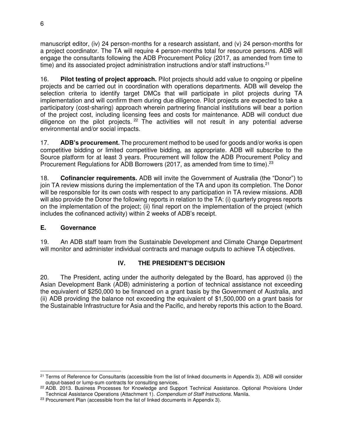manuscript editor, (iv) 24 person-months for a research assistant, and (v) 24 person-months for a project coordinator. The TA will require 4 person-months total for resource persons. ADB will engage the consultants following the ADB Procurement Policy (2017, as amended from time to time) and its associated project administration instructions and/or staff instructions.<sup>21</sup>

16. **Pilot testing of project approach.** Pilot projects should add value to ongoing or pipeline projects and be carried out in coordination with operations departments. ADB will develop the selection criteria to identify target DMCs that will participate in pilot projects during TA implementation and will confirm them during due diligence. Pilot projects are expected to take a participatory (cost-sharing) approach wherein partnering financial institutions will bear a portion of the project cost, including licensing fees and costs for maintenance. ADB will conduct due diligence on the pilot projects.  $22$  The activities will not result in any potential adverse environmental and/or social impacts.

17. **ADB's procurement.** The procurement method to be used for goods and/or works is open competitive bidding or limited competitive bidding, as appropriate. ADB will subscribe to the Source platform for at least 3 years. Procurement will follow the ADB Procurement Policy and Procurement Regulations for ADB Borrowers (2017, as amended from time to time).<sup>23</sup>

18. **Cofinancier requirements.** ADB will invite the Government of Australia (the "Donor") to join TA review missions during the implementation of the TA and upon its completion. The Donor will be responsible for its own costs with respect to any participation in TA review missions. ADB will also provide the Donor the following reports in relation to the TA: (i) quarterly progress reports on the implementation of the project; (ii) final report on the implementation of the project (which includes the cofinanced activity) within 2 weeks of ADB's receipt.

## **E. Governance**

19. An ADB staff team from the Sustainable Development and Climate Change Department will monitor and administer individual contracts and manage outputs to achieve TA objectives.

## **IV. THE PRESIDENT'S DECISION**

20. The President, acting under the authority delegated by the Board, has approved (i) the Asian Development Bank (ADB) administering a portion of technical assistance not exceeding the equivalent of \$250,000 to be financed on a grant basis by the Government of Australia, and (ii) ADB providing the balance not exceeding the equivalent of \$1,500,000 on a grant basis for the Sustainable Infrastructure for Asia and the Pacific, and hereby reports this action to the Board.

 $\overline{a}$  $21$  Terms of Reference for Consultants (accessible from the list of linked documents in Appendix 3). ADB will consider output-based or lump-sum contracts for consulting services.

<sup>&</sup>lt;sup>22</sup> ADB. 2013. Business Processes for Knowledge and Support Technical Assistance. Optional Provisions Under Technical Assistance Operations (Attachment 1). *Compendium of Staff Instructions*. Manila.

<sup>&</sup>lt;sup>23</sup> Procurement Plan (accessible from the list of linked documents in Appendix 3).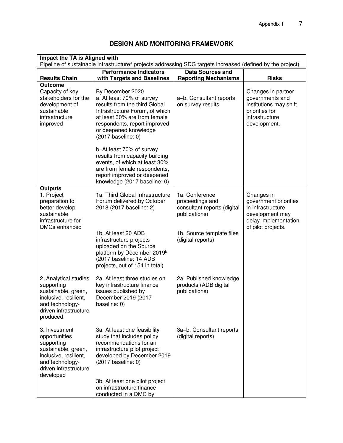| Impact the TA is Aligned with<br>Pipeline of sustainable infrastructure <sup>a</sup> projects addressing SDG targets increased (defined by the project) |                                                                                                                                                                                                                                                                                                                                                                                                |                                                                                                                                     |                                                                                                                           |  |
|---------------------------------------------------------------------------------------------------------------------------------------------------------|------------------------------------------------------------------------------------------------------------------------------------------------------------------------------------------------------------------------------------------------------------------------------------------------------------------------------------------------------------------------------------------------|-------------------------------------------------------------------------------------------------------------------------------------|---------------------------------------------------------------------------------------------------------------------------|--|
|                                                                                                                                                         | <b>Performance Indicators</b>                                                                                                                                                                                                                                                                                                                                                                  | <b>Data Sources and</b>                                                                                                             |                                                                                                                           |  |
| <b>Results Chain</b>                                                                                                                                    | with Targets and Baselines                                                                                                                                                                                                                                                                                                                                                                     | <b>Reporting Mechanisms</b>                                                                                                         | <b>Risks</b>                                                                                                              |  |
| <b>Outcome</b><br>Capacity of key<br>stakeholders for the<br>development of<br>sustainable<br>infrastructure<br>improved                                | By December 2020<br>a. At least 70% of survey<br>results from the third Global<br>Infrastructure Forum, of which<br>at least 30% are from female<br>respondents, report improved<br>or deepened knowledge<br>(2017 baseline: 0)<br>b. At least 70% of survey<br>results from capacity building<br>events, of which at least 30%<br>are from female respondents,<br>report improved or deepened | a-b. Consultant reports<br>on survey results                                                                                        | Changes in partner<br>governments and<br>institutions may shift<br>priorities for<br>infrastructure<br>development.       |  |
| <b>Outputs</b><br>1. Project<br>preparation to<br>better develop<br>sustainable<br>infrastructure for<br>DMCs enhanced                                  | knowledge (2017 baseline: 0)<br>1a. Third Global Infrastructure<br>Forum delivered by October<br>2018 (2017 baseline: 2)<br>1b. At least 20 ADB<br>infrastructure projects<br>uploaded on the Source<br>platform by December 2019 <sup>b</sup><br>(2017 baseline: 14 ADB<br>projects, out of 154 in total)                                                                                     | 1a. Conference<br>proceedings and<br>consultant reports (digital<br>publications)<br>1b. Source template files<br>(digital reports) | Changes in<br>government priorities<br>in infrastructure<br>development may<br>delay implementation<br>of pilot projects. |  |
| 2. Analytical studies<br>supporting<br>sustainable, green,<br>inclusive, resilient,<br>and technology-<br>driven infrastructure<br>produced             | 2a. At least three studies on<br>key infrastructure finance<br>issues published by<br>December 2019 (2017<br>baseline: 0)                                                                                                                                                                                                                                                                      | 2a. Published knowledge<br>products (ADB digital<br>publications)                                                                   |                                                                                                                           |  |
| 3. Investment<br>opportunities<br>supporting<br>sustainable, green,<br>inclusive, resilient,<br>and technology-<br>driven infrastructure<br>developed   | 3a. At least one feasibility<br>study that includes policy<br>recommendations for an<br>infrastructure pilot project<br>developed by December 2019<br>(2017 baseline: 0)<br>3b. At least one pilot project<br>on infrastructure finance<br>conducted in a DMC by                                                                                                                               | 3a-b. Consultant reports<br>(digital reports)                                                                                       |                                                                                                                           |  |

# **DESIGN AND MONITORING FRAMEWORK**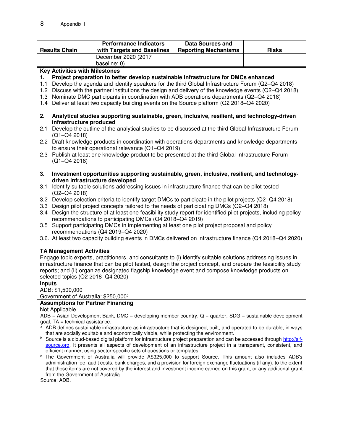|                                                                                                                                                                                                                                                                                                                                                                                                                                    |                                                                                                                | <b>Performance Indicators</b>                                                                                                                                                | <b>Data Sources and</b>     |              |  |
|------------------------------------------------------------------------------------------------------------------------------------------------------------------------------------------------------------------------------------------------------------------------------------------------------------------------------------------------------------------------------------------------------------------------------------|----------------------------------------------------------------------------------------------------------------|------------------------------------------------------------------------------------------------------------------------------------------------------------------------------|-----------------------------|--------------|--|
| <b>Results Chain</b>                                                                                                                                                                                                                                                                                                                                                                                                               |                                                                                                                | with Targets and Baselines                                                                                                                                                   | <b>Reporting Mechanisms</b> | <b>Risks</b> |  |
|                                                                                                                                                                                                                                                                                                                                                                                                                                    |                                                                                                                | December 2020 (2017                                                                                                                                                          |                             |              |  |
|                                                                                                                                                                                                                                                                                                                                                                                                                                    |                                                                                                                | baseline: 0)                                                                                                                                                                 |                             |              |  |
|                                                                                                                                                                                                                                                                                                                                                                                                                                    | <b>Key Activities with Milestones</b>                                                                          |                                                                                                                                                                              |                             |              |  |
| 1.                                                                                                                                                                                                                                                                                                                                                                                                                                 |                                                                                                                | Project preparation to better develop sustainable infrastructure for DMCs enhanced                                                                                           |                             |              |  |
| 1.1                                                                                                                                                                                                                                                                                                                                                                                                                                |                                                                                                                | Develop the agenda and identify speakers for the third Global Infrastructure Forum (Q2-Q4 2018)                                                                              |                             |              |  |
|                                                                                                                                                                                                                                                                                                                                                                                                                                    |                                                                                                                | 1.2 Discuss with the partner institutions the design and delivery of the knowledge events (Q2-Q4 2018)                                                                       |                             |              |  |
|                                                                                                                                                                                                                                                                                                                                                                                                                                    |                                                                                                                | 1.3 Nominate DMC participants in coordination with ADB operations departments (Q2-Q4 2018)                                                                                   |                             |              |  |
|                                                                                                                                                                                                                                                                                                                                                                                                                                    |                                                                                                                | 1.4 Deliver at least two capacity building events on the Source platform (Q2 2018–Q4 2020)                                                                                   |                             |              |  |
| 2.                                                                                                                                                                                                                                                                                                                                                                                                                                 |                                                                                                                | Analytical studies supporting sustainable, green, inclusive, resilient, and technology-driven                                                                                |                             |              |  |
|                                                                                                                                                                                                                                                                                                                                                                                                                                    | infrastructure produced                                                                                        |                                                                                                                                                                              |                             |              |  |
| 2.1                                                                                                                                                                                                                                                                                                                                                                                                                                | $(Q1 - Q4 2018)$                                                                                               | Develop the outline of the analytical studies to be discussed at the third Global Infrastructure Forum                                                                       |                             |              |  |
|                                                                                                                                                                                                                                                                                                                                                                                                                                    |                                                                                                                | 2.2 Draft knowledge products in coordination with operations departments and knowledge departments                                                                           |                             |              |  |
|                                                                                                                                                                                                                                                                                                                                                                                                                                    |                                                                                                                | to ensure their operational relevance (Q1-Q4 2019)                                                                                                                           |                             |              |  |
|                                                                                                                                                                                                                                                                                                                                                                                                                                    |                                                                                                                | 2.3 Publish at least one knowledge product to be presented at the third Global Infrastructure Forum                                                                          |                             |              |  |
|                                                                                                                                                                                                                                                                                                                                                                                                                                    | $(Q1 - Q4 2018)$                                                                                               |                                                                                                                                                                              |                             |              |  |
| 3.                                                                                                                                                                                                                                                                                                                                                                                                                                 |                                                                                                                | Investment opportunities supporting sustainable, green, inclusive, resilient, and technology-                                                                                |                             |              |  |
|                                                                                                                                                                                                                                                                                                                                                                                                                                    |                                                                                                                | driven infrastructure developed                                                                                                                                              |                             |              |  |
| 3.1                                                                                                                                                                                                                                                                                                                                                                                                                                | $(Q2-Q4 2018)$                                                                                                 | Identify suitable solutions addressing issues in infrastructure finance that can be pilot tested                                                                             |                             |              |  |
|                                                                                                                                                                                                                                                                                                                                                                                                                                    |                                                                                                                | 3.2 Develop selection criteria to identify target DMCs to participate in the pilot projects (Q2-Q4 2018)                                                                     |                             |              |  |
|                                                                                                                                                                                                                                                                                                                                                                                                                                    |                                                                                                                | 3.3 Design pilot project concepts tailored to the needs of participating DMCs (Q2-Q4 2018)                                                                                   |                             |              |  |
|                                                                                                                                                                                                                                                                                                                                                                                                                                    |                                                                                                                | 3.4 Design the structure of at least one feasibility study report for identified pilot projects, including policy<br>recommendations to participating DMCs (Q4 2018-Q4 2019) |                             |              |  |
|                                                                                                                                                                                                                                                                                                                                                                                                                                    |                                                                                                                | 3.5 Support participating DMCs in implementing at least one pilot project proposal and policy                                                                                |                             |              |  |
|                                                                                                                                                                                                                                                                                                                                                                                                                                    |                                                                                                                | recommendations (Q4 2019-Q4 2020)                                                                                                                                            |                             |              |  |
|                                                                                                                                                                                                                                                                                                                                                                                                                                    |                                                                                                                | 3.6. At least two capacity building events in DMCs delivered on infrastructure finance (Q4 2018–Q4 2020)                                                                     |                             |              |  |
|                                                                                                                                                                                                                                                                                                                                                                                                                                    | <b>TA Management Activities</b>                                                                                |                                                                                                                                                                              |                             |              |  |
|                                                                                                                                                                                                                                                                                                                                                                                                                                    |                                                                                                                | Engage topic experts, practitioners, and consultants to (i) identify suitable solutions addressing issues in                                                                 |                             |              |  |
|                                                                                                                                                                                                                                                                                                                                                                                                                                    | infrastructure finance that can be pilot tested, design the project concept, and prepare the feasibility study |                                                                                                                                                                              |                             |              |  |
|                                                                                                                                                                                                                                                                                                                                                                                                                                    | reports; and (ii) organize designated flagship knowledge event and compose knowledge products on               |                                                                                                                                                                              |                             |              |  |
| selected topics (Q2 2018-Q4 2020)                                                                                                                                                                                                                                                                                                                                                                                                  |                                                                                                                |                                                                                                                                                                              |                             |              |  |
|                                                                                                                                                                                                                                                                                                                                                                                                                                    |                                                                                                                |                                                                                                                                                                              |                             |              |  |
|                                                                                                                                                                                                                                                                                                                                                                                                                                    |                                                                                                                |                                                                                                                                                                              |                             |              |  |
|                                                                                                                                                                                                                                                                                                                                                                                                                                    |                                                                                                                |                                                                                                                                                                              |                             |              |  |
|                                                                                                                                                                                                                                                                                                                                                                                                                                    |                                                                                                                |                                                                                                                                                                              |                             |              |  |
|                                                                                                                                                                                                                                                                                                                                                                                                                                    |                                                                                                                |                                                                                                                                                                              |                             |              |  |
|                                                                                                                                                                                                                                                                                                                                                                                                                                    |                                                                                                                |                                                                                                                                                                              |                             |              |  |
| <b>Inputs</b><br>ADB: \$1,500,000<br>Government of Australia: \$250,000°<br><b>Assumptions for Partner Financing</b><br>Not Applicable<br>$ADB = Asian Development Bank$ , DMC = developing member country, $Q =$ quarter, SDG = sustainable development<br>goal, TA = technical assistance.<br><sup>a</sup> ADB defines sustainable infrastructure as infrastructure that is designed, built, and operated to be durable, in ways |                                                                                                                |                                                                                                                                                                              |                             |              |  |

- ADB defines sustainable infrastructure as infrastructure that is designed, built, and operated to be durable, in ways that are socially equitable and economically viable, while protecting the environment.
- <sup>b</sup> Source is a cloud-based digital platform for infrastructure project preparation and can be accessed throug[h http://sif](http://sif-source.org/)[source.org.](http://sif-source.org/) It presents all aspects of development of an infrastructure project in a transparent, consistent, and efficient manner, using sector-specific sets of questions or templates.
- c The Government of Australia will provide A\$325,000 to support Source. This amount also includes ADB's administration fee, audit costs, bank charges, and a provision for foreign exchange fluctuations (if any), to the extent that these items are not covered by the interest and investment income earned on this grant, or any additional grant from the Government of Australia

Source: ADB.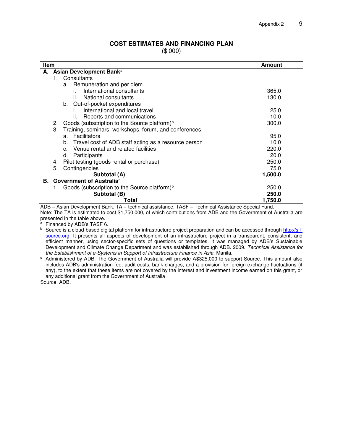#### **COST ESTIMATES AND FINANCING PLAN**

(\$'000)

| Item<br>Amount                                                                                   |         |  |  |  |
|--------------------------------------------------------------------------------------------------|---------|--|--|--|
| A. Asian Development Banka                                                                       |         |  |  |  |
| Consultants<br>1.                                                                                |         |  |  |  |
| Remuneration and per diem<br>a.                                                                  |         |  |  |  |
| International consultants<br>i.                                                                  | 365.0   |  |  |  |
| National consultants<br>II.                                                                      | 130.0   |  |  |  |
| Out-of-pocket expenditures<br>b.                                                                 |         |  |  |  |
| International and local travel<br>L.                                                             | 25.0    |  |  |  |
| Reports and communications<br>II.                                                                | 10.0    |  |  |  |
| Goods (subscription to the Source platform) <sup>b</sup><br>2.                                   | 300.0   |  |  |  |
| 3.<br>Training, seminars, workshops, forum, and conferences                                      |         |  |  |  |
| Facilitators<br>a.                                                                               | 95.0    |  |  |  |
| Travel cost of ADB staff acting as a resource person<br>b.                                       | 10.0    |  |  |  |
| c. Venue rental and related facilities                                                           | 220.0   |  |  |  |
| Participants<br>d.                                                                               | 20.0    |  |  |  |
| Pilot testing (goods rental or purchase)<br>4.                                                   | 250.0   |  |  |  |
| 5.<br>Contingencies                                                                              | 75.0    |  |  |  |
| Subtotal (A)                                                                                     | 1,500.0 |  |  |  |
| <b>B.</b> Government of Australia <sup>c</sup>                                                   |         |  |  |  |
| Goods (subscription to the Source platform) <sup>b</sup><br>1.                                   | 250.0   |  |  |  |
| Subtotal (B)                                                                                     | 250.0   |  |  |  |
| Total<br>Agian Davelopment Rapk, TA technical osciotance, TACE Technical Aggistance Crootel Fund | 1,750.0 |  |  |  |

ADB = Asian Development Bank, TA = technical assistance, TASF = Technical Assistance Special Fund. Note: The TA is estimated to cost \$1,750,000, of which contributions from ADB and the Government of Australia are presented in the table above.

<sup>a</sup> Financed by ADB's TASF 6.

<sup>b</sup> Source is a cloud-based digital platform for infrastructure project preparation and can be accessed throug[h http://sif](http://sif-source.org/)[source.org.](http://sif-source.org/) It presents all aspects of development of an infrastructure project in a transparent, consistent, and efficient manner, using sector-specific sets of questions or templates. It was managed by ADB's Sustainable Development and Climate Change Department and was established through ADB. 2009. *Technical Assistance for the Establishment of e-Systems in Support of Infrastructure Finance in Asia*. Manila.

c Administered by ADB. The Government of Australia will provide A\$325,000 to support Source. This amount also includes ADB's administration fee, audit costs, bank charges, and a provision for foreign exchange fluctuations (if any), to the extent that these items are not covered by the interest and investment income earned on this grant, or any additional grant from the Government of Australia

Source: ADB.